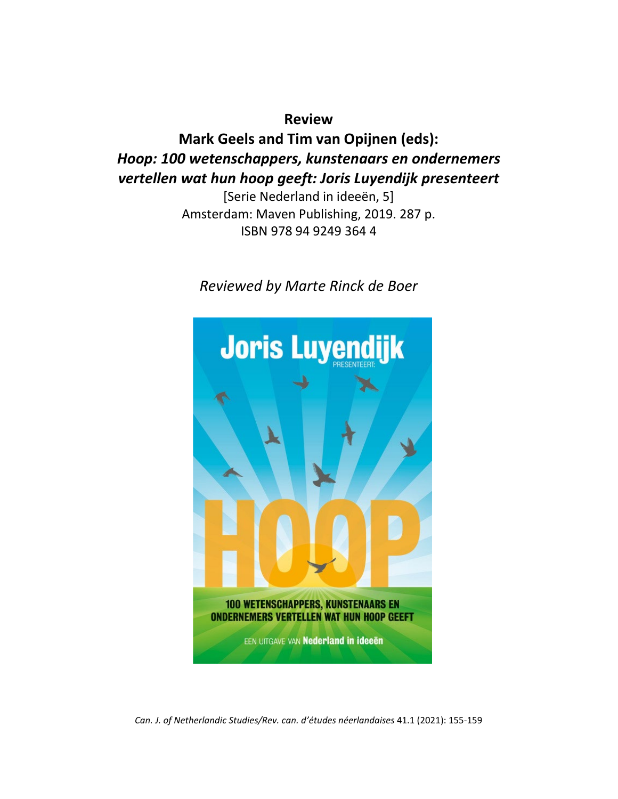**Review Mark Geels and Tim van Opijnen (eds):** *Hoop: 100 wetenschappers, kunstenaars en ondernemers vertellen wat hun hoop geeft: Joris Luyendijk presenteert*

> [Serie Nederland in ideeën, 5] Amsterdam: Maven Publishing, 2019. 287 p. ISBN 978 94 9249 364 4

*Reviewed by Marte Rinck de Boer*



*Can. J. of Netherlandic Studies/Rev. can. d'études néerlandaises* 41.1 (2021): 155-159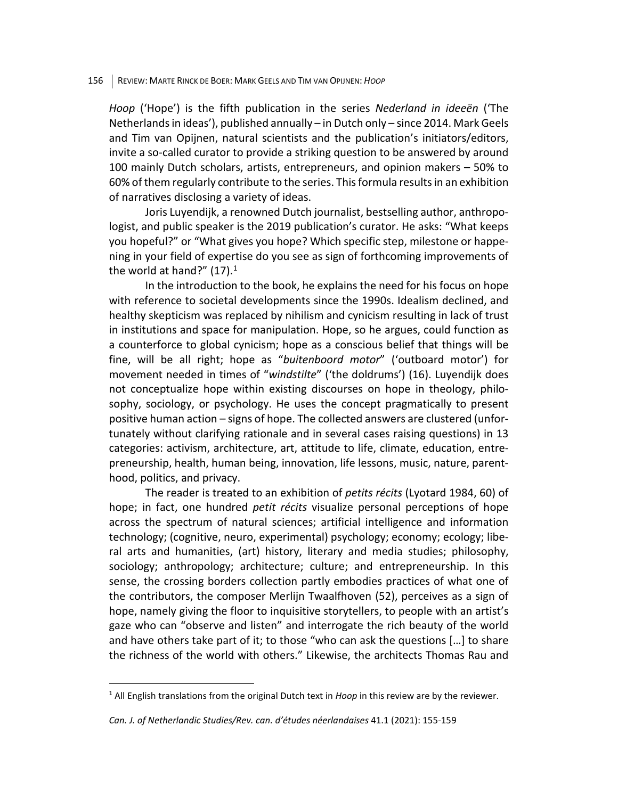## 156 REVIEW: MARTE RINCK DE BOER: MARK GEELS AND TIM VAN OPIJNEN: *HOOP*

*Hoop* ('Hope') is the fifth publication in the series *Nederland in ideeën* ('The Netherlands in ideas'), published annually – in Dutch only – since 2014. Mark Geels and Tim van Opijnen, natural scientists and the publication's initiators/editors, invite a so-called curator to provide a striking question to be answered by around 100 mainly Dutch scholars, artists, entrepreneurs, and opinion makers – 50% to 60% of them regularly contribute to the series. This formula results in an exhibition of narratives disclosing a variety of ideas.

Joris Luyendijk, a renowned Dutch journalist, bestselling author, anthropologist, and public speaker is the 2019 publication's curator. He asks: "What keeps you hopeful?" or "What gives you hope? Which specific step, milestone or happening in your field of expertise do you see as sign of forthcoming improvements of the world at hand?"  $(17).<sup>1</sup>$  $(17).<sup>1</sup>$  $(17).<sup>1</sup>$ 

In the introduction to the book, he explains the need for his focus on hope with reference to societal developments since the 1990s. Idealism declined, and healthy skepticism was replaced by nihilism and cynicism resulting in lack of trust in institutions and space for manipulation. Hope, so he argues, could function as a counterforce to global cynicism; hope as a conscious belief that things will be fine, will be all right; hope as "*buitenboord motor*" ('outboard motor') for movement needed in times of "*windstilte*" ('the doldrums') (16). Luyendijk does not conceptualize hope within existing discourses on hope in theology, philosophy, sociology, or psychology. He uses the concept pragmatically to present positive human action – signs of hope. The collected answers are clustered (unfortunately without clarifying rationale and in several cases raising questions) in 13 categories: activism, architecture, art, attitude to life, climate, education, entrepreneurship, health, human being, innovation, life lessons, music, nature, parenthood, politics, and privacy.

The reader is treated to an exhibition of *petits récits* (Lyotard 1984, 60) of hope; in fact, one hundred *petit récits* visualize personal perceptions of hope across the spectrum of natural sciences; artificial intelligence and information technology; (cognitive, neuro, experimental) psychology; economy; ecology; liberal arts and humanities, (art) history, literary and media studies; philosophy, sociology; anthropology; architecture; culture; and entrepreneurship. In this sense, the crossing borders collection partly embodies practices of what one of the contributors, the composer Merlijn Twaalfhoven (52), perceives as a sign of hope, namely giving the floor to inquisitive storytellers, to people with an artist's gaze who can "observe and listen" and interrogate the rich beauty of the world and have others take part of it; to those "who can ask the questions […] to share the richness of the world with others." Likewise, the architects Thomas Rau and

<span id="page-1-0"></span><sup>&</sup>lt;sup>1</sup> All English translations from the original Dutch text in *Hoop* in this review are by the reviewer.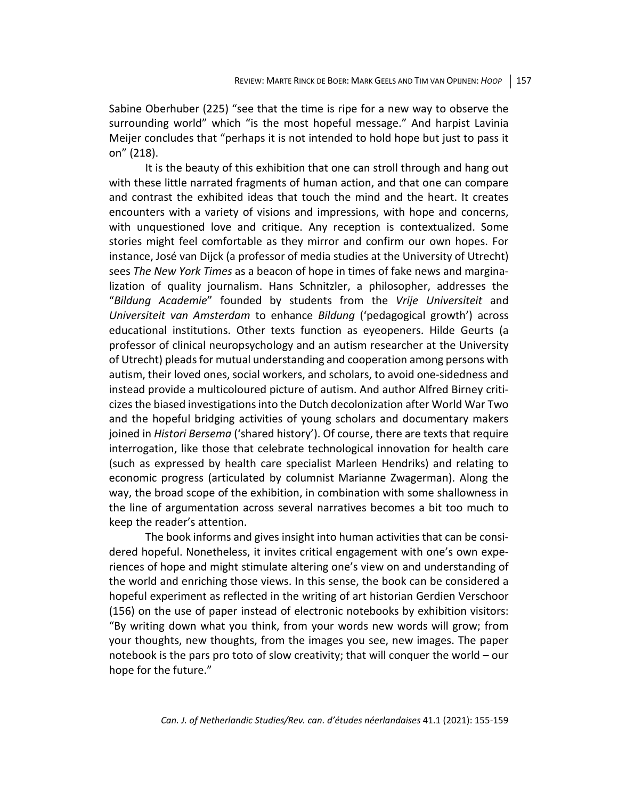Sabine Oberhuber (225) "see that the time is ripe for a new way to observe the surrounding world" which "is the most hopeful message." And harpist Lavinia Meijer concludes that "perhaps it is not intended to hold hope but just to pass it on" (218).

It is the beauty of this exhibition that one can stroll through and hang out with these little narrated fragments of human action, and that one can compare and contrast the exhibited ideas that touch the mind and the heart. It creates encounters with a variety of visions and impressions, with hope and concerns, with unquestioned love and critique. Any reception is contextualized. Some stories might feel comfortable as they mirror and confirm our own hopes. For instance, José van Dijck (a professor of media studies at the University of Utrecht) sees *The New York Times* as a beacon of hope in times of fake news and marginalization of quality journalism. Hans Schnitzler, a philosopher, addresses the "*Bildung Academie*" founded by students from the *Vrije Universiteit* and *Universiteit van Amsterdam* to enhance *Bildung* ('pedagogical growth') across educational institutions. Other texts function as eyeopeners. Hilde Geurts (a professor of clinical neuropsychology and an autism researcher at the University of Utrecht) pleads for mutual understanding and cooperation among persons with autism, their loved ones, social workers, and scholars, to avoid one-sidedness and instead provide a multicoloured picture of autism. And author Alfred Birney criticizes the biased investigations into the Dutch decolonization after World War Two and the hopeful bridging activities of young scholars and documentary makers joined in *Histori Bersema* ('shared history'). Of course, there are texts that require interrogation, like those that celebrate technological innovation for health care (such as expressed by health care specialist Marleen Hendriks) and relating to economic progress (articulated by columnist Marianne Zwagerman). Along the way, the broad scope of the exhibition, in combination with some shallowness in the line of argumentation across several narratives becomes a bit too much to keep the reader's attention.

The book informs and gives insight into human activities that can be considered hopeful. Nonetheless, it invites critical engagement with one's own experiences of hope and might stimulate altering one's view on and understanding of the world and enriching those views. In this sense, the book can be considered a hopeful experiment as reflected in the writing of art historian Gerdien Verschoor (156) on the use of paper instead of electronic notebooks by exhibition visitors: "By writing down what you think, from your words new words will grow; from your thoughts, new thoughts, from the images you see, new images. The paper notebook is the pars pro toto of slow creativity; that will conquer the world – our hope for the future."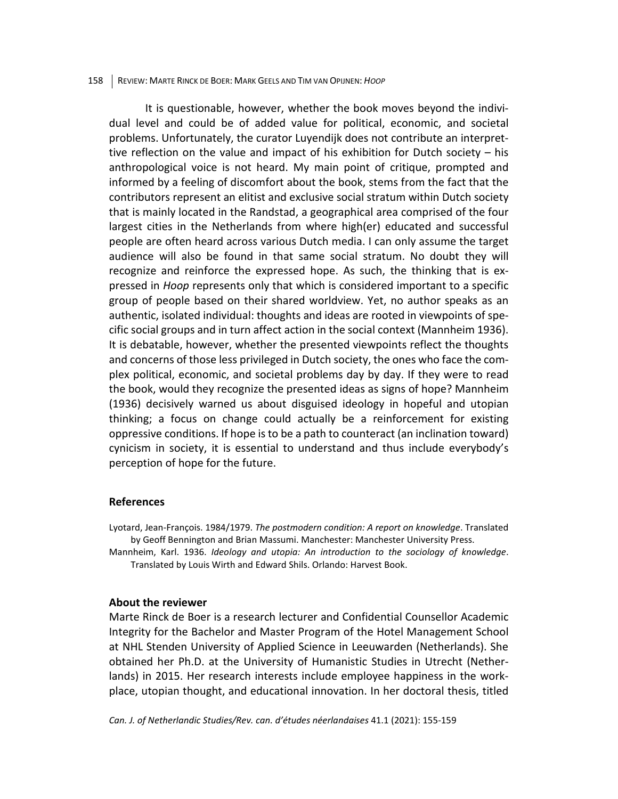## 158 REVIEW: MARTE RINCK DE BOER: MARK GEELS AND TIM VAN OPIJNEN: *HOOP*

It is questionable, however, whether the book moves beyond the individual level and could be of added value for political, economic, and societal problems. Unfortunately, the curator Luyendijk does not contribute an interprettive reflection on the value and impact of his exhibition for Dutch society – his anthropological voice is not heard. My main point of critique, prompted and informed by a feeling of discomfort about the book, stems from the fact that the contributors represent an elitist and exclusive social stratum within Dutch society that is mainly located in the Randstad, a geographical area comprised of the four largest cities in the Netherlands from where high(er) educated and successful people are often heard across various Dutch media. I can only assume the target audience will also be found in that same social stratum. No doubt they will recognize and reinforce the expressed hope. As such, the thinking that is expressed in *Hoop* represents only that which is considered important to a specific group of people based on their shared worldview. Yet, no author speaks as an authentic, isolated individual: thoughts and ideas are rooted in viewpoints of specific social groups and in turn affect action in the social context (Mannheim 1936). It is debatable, however, whether the presented viewpoints reflect the thoughts and concerns of those less privileged in Dutch society, the ones who face the complex political, economic, and societal problems day by day. If they were to read the book, would they recognize the presented ideas as signs of hope? Mannheim (1936) decisively warned us about disguised ideology in hopeful and utopian thinking; a focus on change could actually be a reinforcement for existing oppressive conditions. If hope is to be a path to counteract (an inclination toward) cynicism in society, it is essential to understand and thus include everybody's perception of hope for the future.

## **References**

Lyotard, Jean-François. 1984/1979. *The postmodern condition: A report on knowledge*. Translated by Geoff Bennington and Brian Massumi. Manchester: Manchester University Press.

Mannheim, Karl. 1936. *Ideology and utopia: An introduction to the sociology of knowledge*. Translated by Louis Wirth and Edward Shils. Orlando: Harvest Book.

## **About the reviewer**

Marte Rinck de Boer is a research lecturer and Confidential Counsellor Academic Integrity for the Bachelor and Master Program of the Hotel Management School at NHL Stenden University of Applied Science in Leeuwarden (Netherlands). She obtained her Ph.D. at the University of Humanistic Studies in Utrecht (Netherlands) in 2015. Her research interests include employee happiness in the workplace, utopian thought, and educational innovation. In her doctoral thesis, titled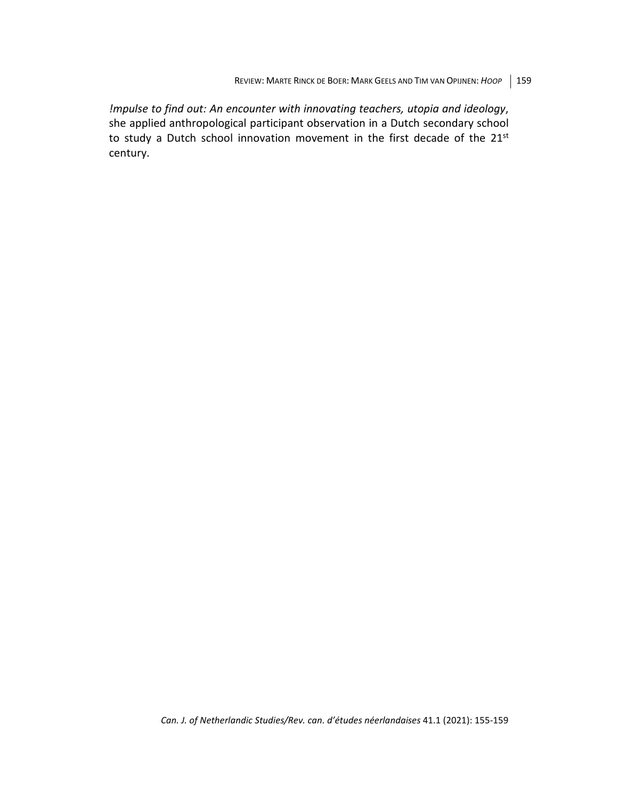*!mpulse to find out: An encounter with innovating teachers, utopia and ideology*, she applied anthropological participant observation in a Dutch secondary school to study a Dutch school innovation movement in the first decade of the 21st century.